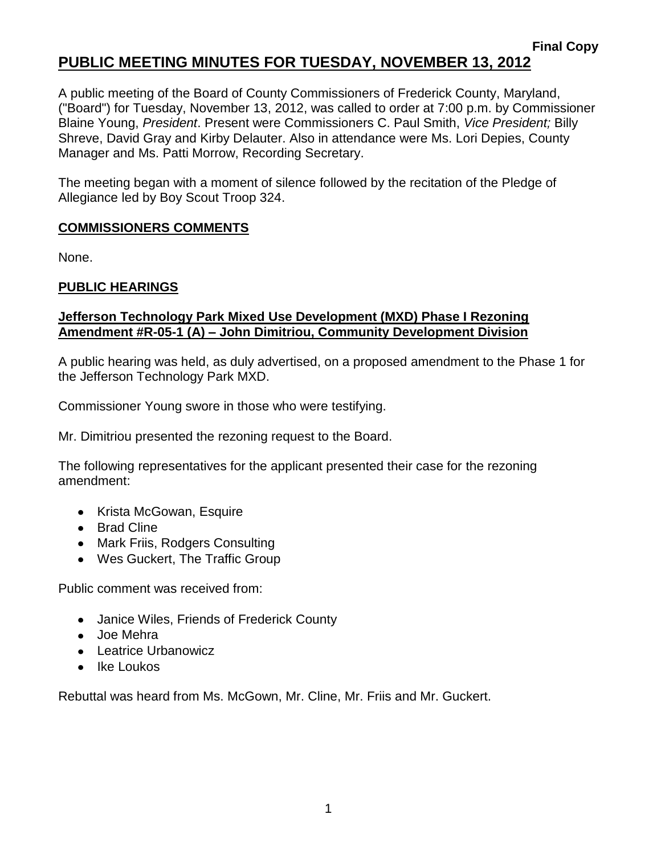# **PUBLIC MEETING MINUTES FOR TUESDAY, NOVEMBER 13, 2012**

A public meeting of the Board of County Commissioners of Frederick County, Maryland, ("Board") for Tuesday, November 13, 2012, was called to order at 7:00 p.m. by Commissioner Blaine Young, *President*. Present were Commissioners C. Paul Smith, *Vice President;* Billy Shreve, David Gray and Kirby Delauter. Also in attendance were Ms. Lori Depies, County Manager and Ms. Patti Morrow, Recording Secretary.

The meeting began with a moment of silence followed by the recitation of the Pledge of Allegiance led by Boy Scout Troop 324.

#### **COMMISSIONERS COMMENTS**

None.

### **PUBLIC HEARINGS**

#### **Jefferson Technology Park Mixed Use Development (MXD) Phase I Rezoning Amendment #R-05-1 (A) – John Dimitriou, Community Development Division**

A public hearing was held, as duly advertised, on a proposed amendment to the Phase 1 for the Jefferson Technology Park MXD.

Commissioner Young swore in those who were testifying.

Mr. Dimitriou presented the rezoning request to the Board.

The following representatives for the applicant presented their case for the rezoning amendment:

- Krista McGowan, Esquire
- Brad Cline
- Mark Friis, Rodgers Consulting
- Wes Guckert, The Traffic Group

Public comment was received from:

- Janice Wiles, Friends of Frederick County
- Joe Mehra
- Leatrice Urbanowicz
- $\bullet$  Ike Loukos

Rebuttal was heard from Ms. McGown, Mr. Cline, Mr. Friis and Mr. Guckert.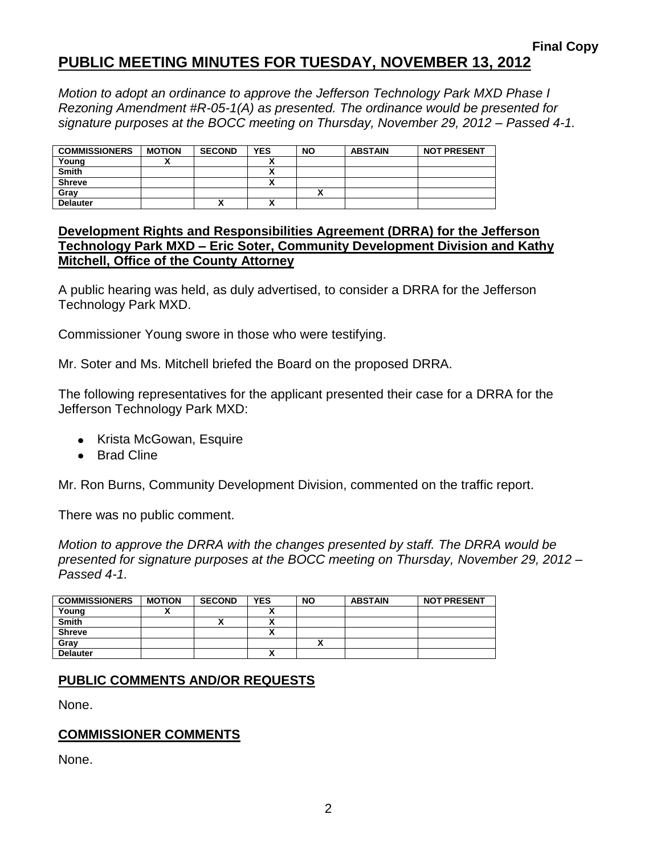# **PUBLIC MEETING MINUTES FOR TUESDAY, NOVEMBER 13, 2012**

*Motion to adopt an ordinance to approve the Jefferson Technology Park MXD Phase I Rezoning Amendment #R-05-1(A) as presented. The ordinance would be presented for signature purposes at the BOCC meeting on Thursday, November 29, 2012 – Passed 4-1.*

| <b>COMMISSIONERS</b> | <b>MOTION</b> | <b>SECOND</b> | <b>YES</b> | <b>NO</b> | <b>ABSTAIN</b> | <b>NOT PRESENT</b> |
|----------------------|---------------|---------------|------------|-----------|----------------|--------------------|
| Young                |               |               |            |           |                |                    |
| <b>Smith</b>         |               |               |            |           |                |                    |
| <b>Shreve</b>        |               |               |            |           |                |                    |
| Gray                 |               |               |            |           |                |                    |
| <b>Delauter</b>      |               |               |            |           |                |                    |

#### **Development Rights and Responsibilities Agreement (DRRA) for the Jefferson Technology Park MXD – Eric Soter, Community Development Division and Kathy Mitchell, Office of the County Attorney**

A public hearing was held, as duly advertised, to consider a DRRA for the Jefferson Technology Park MXD.

Commissioner Young swore in those who were testifying.

Mr. Soter and Ms. Mitchell briefed the Board on the proposed DRRA.

The following representatives for the applicant presented their case for a DRRA for the Jefferson Technology Park MXD:

- Krista McGowan, Esquire
- Brad Cline

Mr. Ron Burns, Community Development Division, commented on the traffic report.

There was no public comment.

*Motion to approve the DRRA with the changes presented by staff. The DRRA would be presented for signature purposes at the BOCC meeting on Thursday, November 29, 2012 – Passed 4-1.*

| <b>COMMISSIONERS</b> | <b>MOTION</b> | <b>SECOND</b> | <b>YES</b> | <b>NO</b> | <b>ABSTAIN</b> | <b>NOT PRESENT</b> |
|----------------------|---------------|---------------|------------|-----------|----------------|--------------------|
| Young                |               |               |            |           |                |                    |
| <b>Smith</b>         |               | ~             |            |           |                |                    |
| <b>Shreve</b>        |               |               |            |           |                |                    |
| Gray                 |               |               |            |           |                |                    |
| <b>Delauter</b>      |               |               |            |           |                |                    |

#### **PUBLIC COMMENTS AND/OR REQUESTS**

None.

#### **COMMISSIONER COMMENTS**

None.